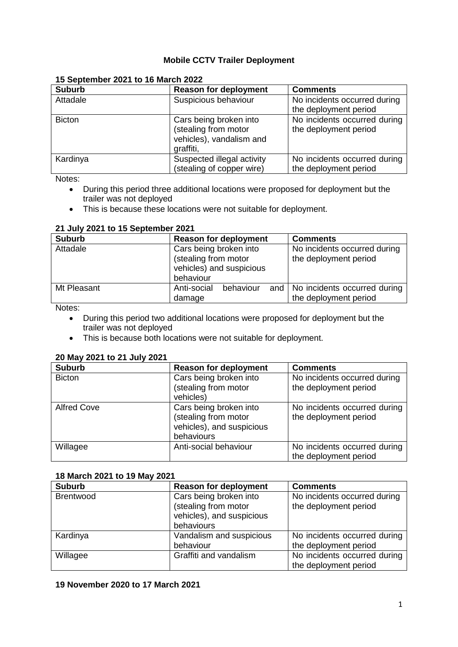# **Mobile CCTV Trailer Deployment**

| <b>Suburb</b> | <b>Reason for deployment</b>                                                            | <b>Comments</b>                                       |
|---------------|-----------------------------------------------------------------------------------------|-------------------------------------------------------|
| Attadale      | Suspicious behaviour                                                                    | No incidents occurred during<br>the deployment period |
| <b>Bicton</b> | Cars being broken into<br>(stealing from motor<br>vehicles), vandalism and<br>graffiti, | No incidents occurred during<br>the deployment period |
| Kardinya      | Suspected illegal activity<br>(stealing of copper wire)                                 | No incidents occurred during<br>the deployment period |

# **15 September 2021 to 16 March 2022**

Notes:

- During this period three additional locations were proposed for deployment but the trailer was not deployed
- This is because these locations were not suitable for deployment.

## **21 July 2021 to 15 September 2021**

| <b>Suburb</b> | <b>Reason for deployment</b>                                                            | <b>Comments</b>                                             |
|---------------|-----------------------------------------------------------------------------------------|-------------------------------------------------------------|
| Attadale      | Cars being broken into<br>(stealing from motor<br>vehicles) and suspicious<br>behaviour | No incidents occurred during<br>the deployment period       |
| Mt Pleasant   | Anti-social<br>behaviour<br>damage                                                      | and   No incidents occurred during<br>the deployment period |

Notes:

- During this period two additional locations were proposed for deployment but the trailer was not deployed
- This is because both locations were not suitable for deployment.

# **20 May 2021 to 21 July 2021**

| <b>Suburb</b>      | <b>Reason for deployment</b> | <b>Comments</b>              |
|--------------------|------------------------------|------------------------------|
| <b>Bicton</b>      | Cars being broken into       | No incidents occurred during |
|                    | (stealing from motor         | the deployment period        |
|                    | vehicles)                    |                              |
| <b>Alfred Cove</b> | Cars being broken into       | No incidents occurred during |
|                    | (stealing from motor         | the deployment period        |
|                    | vehicles), and suspicious    |                              |
|                    | behaviours                   |                              |
| Willagee           | Anti-social behaviour        | No incidents occurred during |
|                    |                              | the deployment period        |

# **18 March 2021 to 19 May 2021**

| <b>Suburb</b>    | <b>Reason for deployment</b> | <b>Comments</b>              |
|------------------|------------------------------|------------------------------|
| <b>Brentwood</b> | Cars being broken into       | No incidents occurred during |
|                  | (stealing from motor         | the deployment period        |
|                  | vehicles), and suspicious    |                              |
|                  | behaviours                   |                              |
| Kardinya         | Vandalism and suspicious     | No incidents occurred during |
|                  | behaviour                    | the deployment period        |
| Willagee         | Graffiti and vandalism       | No incidents occurred during |
|                  |                              | the deployment period        |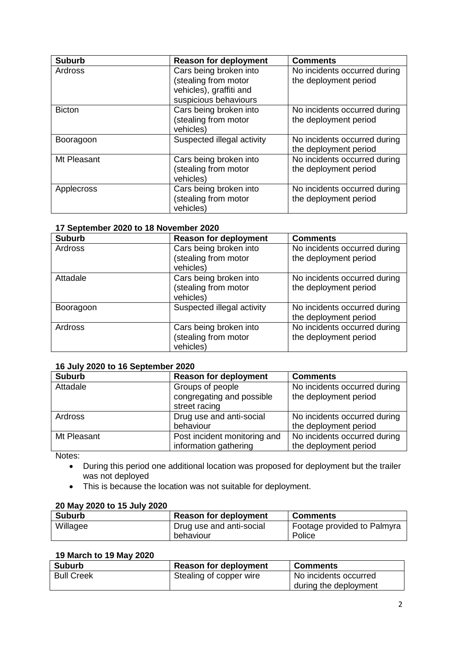| <b>Suburb</b> | <b>Reason for deployment</b>                                                                       | <b>Comments</b>                                       |
|---------------|----------------------------------------------------------------------------------------------------|-------------------------------------------------------|
| Ardross       | Cars being broken into<br>(stealing from motor<br>vehicles), graffiti and<br>suspicious behaviours | No incidents occurred during<br>the deployment period |
| <b>Bicton</b> | Cars being broken into<br>(stealing from motor<br>vehicles)                                        | No incidents occurred during<br>the deployment period |
| Booragoon     | Suspected illegal activity                                                                         | No incidents occurred during<br>the deployment period |
| Mt Pleasant   | Cars being broken into<br>(stealing from motor<br>vehicles)                                        | No incidents occurred during<br>the deployment period |
| Applecross    | Cars being broken into<br>(stealing from motor<br>vehicles)                                        | No incidents occurred during<br>the deployment period |

## **17 September 2020 to 18 November 2020**

| <b>Suburb</b> | <b>Reason for deployment</b>                                | <b>Comments</b>                                       |
|---------------|-------------------------------------------------------------|-------------------------------------------------------|
| Ardross       | Cars being broken into<br>(stealing from motor<br>vehicles) | No incidents occurred during<br>the deployment period |
| Attadale      | Cars being broken into<br>(stealing from motor<br>vehicles) | No incidents occurred during<br>the deployment period |
| Booragoon     | Suspected illegal activity                                  | No incidents occurred during<br>the deployment period |
| Ardross       | Cars being broken into<br>(stealing from motor<br>vehicles) | No incidents occurred during<br>the deployment period |

# **16 July 2020 to 16 September 2020**

| <b>Suburb</b> | <b>Reason for deployment</b>                                   | <b>Comments</b>                                       |
|---------------|----------------------------------------------------------------|-------------------------------------------------------|
| Attadale      | Groups of people<br>congregating and possible<br>street racing | No incidents occurred during<br>the deployment period |
| Ardross       | Drug use and anti-social<br>behaviour                          | No incidents occurred during<br>the deployment period |
| Mt Pleasant   | Post incident monitoring and<br>information gathering          | No incidents occurred during<br>the deployment period |

Notes:

- During this period one additional location was proposed for deployment but the trailer was not deployed
- This is because the location was not suitable for deployment.

## **20 May 2020 to 15 July 2020**

| <b>Suburb</b> | <b>Reason for deployment</b> | <b>Comments</b>             |
|---------------|------------------------------|-----------------------------|
| Willagee      | Drug use and anti-social     | Footage provided to Palmyra |
|               | behaviour                    | Police                      |

# **19 March to 19 May 2020**

| <b>Suburb</b>     | <b>Reason for deployment</b> | <b>Comments</b>       |
|-------------------|------------------------------|-----------------------|
| <b>Bull Creek</b> | Stealing of copper wire      | No incidents occurred |
|                   |                              | during the deployment |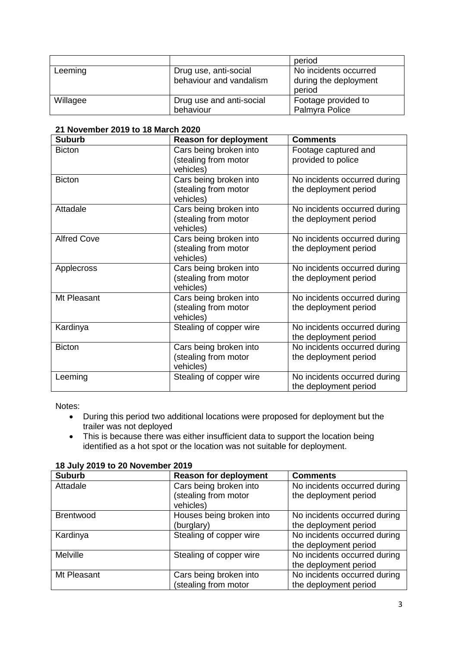|          |                                                  | period                                                   |
|----------|--------------------------------------------------|----------------------------------------------------------|
| Leeming  | Drug use, anti-social<br>behaviour and vandalism | No incidents occurred<br>during the deployment<br>period |
| Willagee | Drug use and anti-social<br>behaviour            | Footage provided to<br>Palmyra Police                    |

| <b>Suburb</b>      | <b>Reason for deployment</b>                                | <b>Comments</b>                                       |
|--------------------|-------------------------------------------------------------|-------------------------------------------------------|
| <b>Bicton</b>      | Cars being broken into<br>(stealing from motor<br>vehicles) | Footage captured and<br>provided to police            |
| <b>Bicton</b>      | Cars being broken into<br>(stealing from motor<br>vehicles) | No incidents occurred during<br>the deployment period |
| Attadale           | Cars being broken into<br>(stealing from motor<br>vehicles) | No incidents occurred during<br>the deployment period |
| <b>Alfred Cove</b> | Cars being broken into<br>(stealing from motor<br>vehicles) | No incidents occurred during<br>the deployment period |
| Applecross         | Cars being broken into<br>(stealing from motor<br>vehicles) | No incidents occurred during<br>the deployment period |
| Mt Pleasant        | Cars being broken into<br>(stealing from motor<br>vehicles) | No incidents occurred during<br>the deployment period |
| Kardinya           | Stealing of copper wire                                     | No incidents occurred during<br>the deployment period |
| <b>Bicton</b>      | Cars being broken into<br>(stealing from motor<br>vehicles) | No incidents occurred during<br>the deployment period |
| Leeming            | Stealing of copper wire                                     | No incidents occurred during<br>the deployment period |

Notes:

- During this period two additional locations were proposed for deployment but the trailer was not deployed
- This is because there was either insufficient data to support the location being identified as a hot spot or the location was not suitable for deployment.

| <b>Suburb</b>    | <b>Reason for deployment</b> | <b>Comments</b>              |
|------------------|------------------------------|------------------------------|
| Attadale         | Cars being broken into       | No incidents occurred during |
|                  | (stealing from motor         | the deployment period        |
|                  | vehicles)                    |                              |
| <b>Brentwood</b> | Houses being broken into     | No incidents occurred during |
|                  | (burglary)                   | the deployment period        |
| Kardinya         | Stealing of copper wire      | No incidents occurred during |
|                  |                              | the deployment period        |
| <b>Melville</b>  | Stealing of copper wire      | No incidents occurred during |
|                  |                              | the deployment period        |
| Mt Pleasant      | Cars being broken into       | No incidents occurred during |
|                  | (stealing from motor         | the deployment period        |

#### **18 July 2019 to 20 November 2019**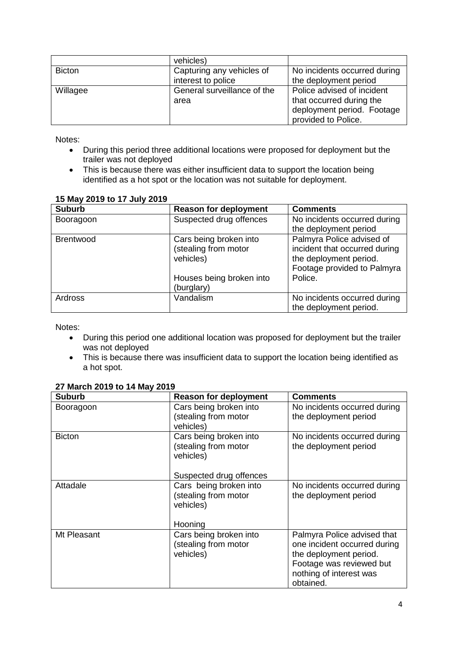|               | vehicles)                   |                              |
|---------------|-----------------------------|------------------------------|
| <b>Bicton</b> | Capturing any vehicles of   | No incidents occurred during |
|               | interest to police          | the deployment period        |
| Willagee      | General surveillance of the | Police advised of incident   |
|               | area                        | that occurred during the     |
|               |                             | deployment period. Footage   |
|               |                             | provided to Police.          |

Notes:

- During this period three additional locations were proposed for deployment but the trailer was not deployed
- This is because there was either insufficient data to support the location being identified as a hot spot or the location was not suitable for deployment.

| IJ IVIAY ZU IJ LU I I JUIY ZU IJ |                                                                                         |                                                                                                                                |
|----------------------------------|-----------------------------------------------------------------------------------------|--------------------------------------------------------------------------------------------------------------------------------|
| <b>Suburb</b>                    | <b>Reason for deployment</b>                                                            | <b>Comments</b>                                                                                                                |
| Booragoon                        | Suspected drug offences                                                                 | No incidents occurred during<br>the deployment period                                                                          |
| <b>Brentwood</b>                 | Cars being broken into<br>(stealing from motor<br>vehicles)<br>Houses being broken into | Palmyra Police advised of<br>incident that occurred during<br>the deployment period.<br>Footage provided to Palmyra<br>Police. |
| <b>Ardross</b>                   | (burglary)<br>Vandalism                                                                 | No incidents occurred during<br>the deployment period.                                                                         |

# **15 May 2019 to 17 July 2019**

Notes:

- During this period one additional location was proposed for deployment but the trailer was not deployed
- This is because there was insufficient data to support the location being identified as a hot spot.

| <b>Suburb</b> | <b>Reason for deployment</b>                                                           | <b>Comments</b>                                                                                                                                           |
|---------------|----------------------------------------------------------------------------------------|-----------------------------------------------------------------------------------------------------------------------------------------------------------|
| Booragoon     | Cars being broken into<br>(stealing from motor<br>vehicles)                            | No incidents occurred during<br>the deployment period                                                                                                     |
| <b>Bicton</b> | Cars being broken into<br>(stealing from motor<br>vehicles)<br>Suspected drug offences | No incidents occurred during<br>the deployment period                                                                                                     |
| Attadale      | Cars being broken into<br>(stealing from motor<br>vehicles)<br>Hooning                 | No incidents occurred during<br>the deployment period                                                                                                     |
| Mt Pleasant   | Cars being broken into<br>(stealing from motor<br>vehicles)                            | Palmyra Police advised that<br>one incident occurred during<br>the deployment period.<br>Footage was reviewed but<br>nothing of interest was<br>obtained. |

## **27 March 2019 to 14 May 2019**